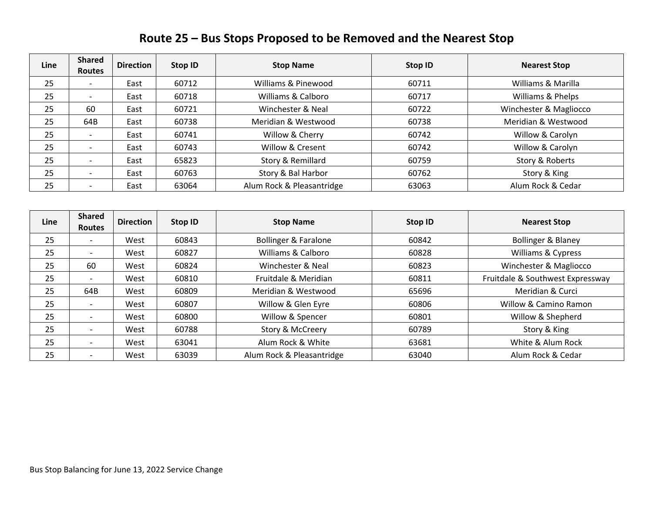## **Route 25 – Bus Stops Proposed to be Removed and the Nearest Stop**

| Line | <b>Shared</b><br><b>Routes</b> | <b>Direction</b> | Stop ID | <b>Stop Name</b>          | Stop ID | <b>Nearest Stop</b>    |
|------|--------------------------------|------------------|---------|---------------------------|---------|------------------------|
| 25   |                                | East             | 60712   | Williams & Pinewood       | 60711   | Williams & Marilla     |
| 25   |                                | East             | 60718   | Williams & Calboro        | 60717   | Williams & Phelps      |
| 25   | 60                             | East             | 60721   | Winchester & Neal         | 60722   | Winchester & Magliocco |
| 25   | 64B                            | East             | 60738   | Meridian & Westwood       | 60738   | Meridian & Westwood    |
| 25   |                                | East             | 60741   | Willow & Cherry           | 60742   | Willow & Carolyn       |
| 25   |                                | East             | 60743   | Willow & Cresent          | 60742   | Willow & Carolyn       |
| 25   |                                | East             | 65823   | Story & Remillard         | 60759   | Story & Roberts        |
| 25   |                                | East             | 60763   | Story & Bal Harbor        | 60762   | Story & King           |
| 25   |                                | East             | 63064   | Alum Rock & Pleasantridge | 63063   | Alum Rock & Cedar      |

| Line | <b>Shared</b><br><b>Routes</b> | <b>Direction</b> | Stop ID | <b>Stop Name</b>                | Stop ID | <b>Nearest Stop</b>              |
|------|--------------------------------|------------------|---------|---------------------------------|---------|----------------------------------|
| 25   |                                | West             | 60843   | <b>Bollinger &amp; Faralone</b> | 60842   | Bollinger & Blaney               |
| 25   |                                | West             | 60827   | Williams & Calboro              | 60828   | Williams & Cypress               |
| 25   | 60                             | West             | 60824   | Winchester & Neal               | 60823   | Winchester & Magliocco           |
| 25   |                                | West             | 60810   | Fruitdale & Meridian            | 60811   | Fruitdale & Southwest Expressway |
| 25   | 64B                            | West             | 60809   | Meridian & Westwood             | 65696   | Meridian & Curci                 |
| 25   |                                | West             | 60807   | Willow & Glen Eyre              | 60806   | Willow & Camino Ramon            |
| 25   |                                | West             | 60800   | Willow & Spencer                | 60801   | Willow & Shepherd                |
| 25   |                                | West             | 60788   | Story & McCreery                | 60789   | Story & King                     |
| 25   |                                | West             | 63041   | Alum Rock & White               | 63681   | White & Alum Rock                |
| 25   |                                | West             | 63039   | Alum Rock & Pleasantridge       | 63040   | Alum Rock & Cedar                |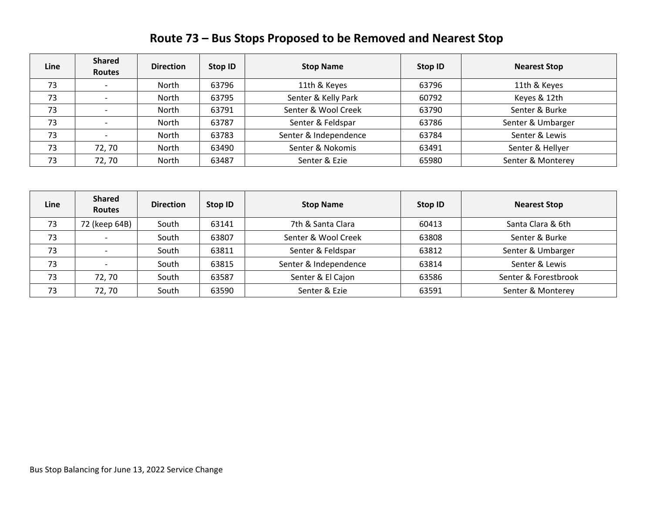| Route 73 – Bus Stops Proposed to be Removed and Nearest Stop |  |  |  |
|--------------------------------------------------------------|--|--|--|
|--------------------------------------------------------------|--|--|--|

| Line | <b>Shared</b><br><b>Routes</b> | <b>Direction</b> | Stop ID | <b>Stop Name</b>      | Stop ID | <b>Nearest Stop</b> |
|------|--------------------------------|------------------|---------|-----------------------|---------|---------------------|
| 73   |                                | North            | 63796   | 11th & Keyes          | 63796   | 11th & Keyes        |
| 73   |                                | North            | 63795   | Senter & Kelly Park   | 60792   | Keyes & 12th        |
| 73   |                                | North            | 63791   | Senter & Wool Creek   | 63790   | Senter & Burke      |
| 73   |                                | North            | 63787   | Senter & Feldspar     | 63786   | Senter & Umbarger   |
| 73   |                                | North            | 63783   | Senter & Independence | 63784   | Senter & Lewis      |
| 73   | 72, 70                         | North            | 63490   | Senter & Nokomis      | 63491   | Senter & Hellyer    |
| 73   | 72,70                          | North            | 63487   | Senter & Ezie         | 65980   | Senter & Monterey   |

| Line | <b>Shared</b><br><b>Routes</b> | <b>Direction</b> | Stop ID | <b>Stop Name</b>      | Stop ID | <b>Nearest Stop</b>  |
|------|--------------------------------|------------------|---------|-----------------------|---------|----------------------|
| 73   | 72 (keep 64B)                  | South            | 63141   | 7th & Santa Clara     | 60413   | Santa Clara & 6th    |
| 73   |                                | South            | 63807   | Senter & Wool Creek   | 63808   | Senter & Burke       |
| 73   |                                | South            | 63811   | Senter & Feldspar     | 63812   | Senter & Umbarger    |
| 73   |                                | South            | 63815   | Senter & Independence | 63814   | Senter & Lewis       |
| 73   | 72, 70                         | South            | 63587   | Senter & El Cajon     | 63586   | Senter & Forestbrook |
| 73   | 72,70                          | South            | 63590   | Senter & Ezie         | 63591   | Senter & Monterey    |